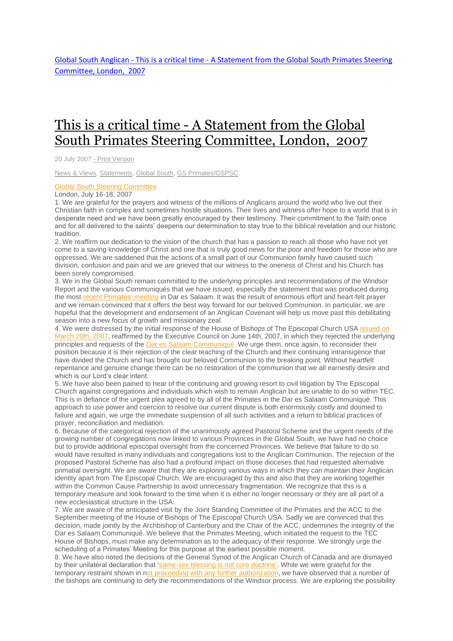Global South Anglican - This is a critical time - [A Statement from the Global South Primates Steering](http://www.globalsouthanglican.org/blog/comments/this_is_a_critical_time_a_statement_from_the_global_south_steering_committe)  [Committee, London,](http://www.globalsouthanglican.org/blog/comments/this_is_a_critical_time_a_statement_from_the_global_south_steering_committe) 2007

## This is a critical time - A [Statement](http://www.globalsouthanglican.org/index.php/blog/comments/this_is_a_critical_time_a_statement_from_the_global_south_steering_committe) from the Global South Primates Steering [Committee,](http://www.globalsouthanglican.org/index.php/blog/comments/this_is_a_critical_time_a_statement_from_the_global_south_steering_committe) London, 2007

20 July 2007 - Print [Version](http://globalsouthanglican.org/index.php/blog/printing/this_is_a_critical_time_a_statement_from_the_global_south_steering_committe)

News & [Views,](http://globalsouthanglican.org/index.php/archives/category/news_views) [Statements,](http://globalsouthanglican.org/index.php/archives/category/statements) [Global](http://globalsouthanglican.org/index.php/archives/category/global_south) South, GS [Primates/GSPSC](http://globalsouthanglican.org/index.php/archives/category/gs_primates_gspsc)

## Global South Steering [Committee](http://www.globalsouthanglican.org/index.php/comments/global_south_steering_committee_update_and_info_21july07/)

## London, July 16-18, 2007

1. We are grateful for the prayers and witness of the millions of Anglicans around the world who live out their Christian faith in complex and sometimes hostile situations. Their lives and witness offer hope to a world that is in desperate need and we have been greatly encouraged by their testimony. Their commitment to the 'faith once and for all delivered to the saints' deepens our determination to stay true to the biblical revelation and our historic tradition.

2. We reaffirm our dedication to the vision of the church that has a passion to reach all those who have not yet come to a saving knowledge of Christ and one that is truly good news for the poor and freedom for those who are oppressed. We are saddened that the actions of a small part of our Communion family have caused such division, confusion and pain and we are grieved that our witness to the oneness of Christ and his Church has been sorely compromised.

3. We in the Global South remain committed to the underlying principles and recommendations of the Windsor Report and the various Communiqués that we have issued, especially the statement that was produced during the most recent [Primates'](http://www.globalsouthanglican.org/index.php/comments/primates_meeting_communique_tanzania/) meeting in Dar es Salaam. It was the result of enormous effort and heart-felt prayer and we remain convinced that it offers the best way forward for our beloved Communion. In particular, we are hopeful that the development and endorsement of an Anglican Covenant will help us move past this debilitating season into a new focus of growth and missionary zeal.

4. We were distressed by the initial response of the House of Bishops of The Episcopal Church USA [issued](http://www.globalsouthanglican.org/index.php/comments/bishops_mind_of_the_house_resolutions/) on [March](http://www.globalsouthanglican.org/index.php/comments/bishops_mind_of_the_house_resolutions/) 20th, 2007, reaffirmed by the Executive Council on June 14th, 2007, in which they rejected the underlying principles and requests of the Dar es Salaam [Communiqué.](http://www.globalsouthanglican.org/index.php/comments/primates_meeting_communique_tanzania/) We urge them, once again, to reconsider their position because it is their rejection of the clear teaching of the Church and their continuing intransigence that have divided the Church and has brought our beloved Communion to the breaking point. Without heartfelt repentance and genuine change there can be no restoration of the communion that we all earnestly desire and which is our Lord's clear intent.

5. We have also been pained to hear of the continuing and growing resort to civil litigation by The Episcopal Church against congregations and individuals which wish to remain Anglican but are unable to do so within TEC. This is in defiance of the urgent plea agreed to by all of the Primates in the Dar es Salaam Communiqué. This approach to use power and coercion to resolve our current dispute is both enormously costly and doomed to failure and again, we urge the immediate suspension of all such activities and a return to biblical practices of prayer, reconciliation and mediation.

6. Because of the categorical rejection of the unanimously agreed Pastoral Scheme and the urgent needs of the growing number of congregations now linked to various Provinces in the Global South, we have had no choice but to provide additional episcopal oversight from the concerned Provinces. We believe that failure to do so would have resulted in many individuals and congregations lost to the Anglican Communion. The rejection of the proposed Pastoral Scheme has also had a profound impact on those dioceses that had requested alternative primatial oversight. We are aware that they are exploring various ways in which they can maintain their Anglican identity apart from The Episcopal Church. We are encouraged by this and also that they are working together within the Common Cause Partnership to avoid unnecessary fragmentation. We recognize that this is a temporary measure and look forward to the time when it is either no longer necessary or they are all part of a new ecclesiastical structure in the USA.

7. We are aware of the anticipated visit by the Joint Standing Committee of the Primates and the ACC to the September meeting of the House of Bishops of The Episcopal Church USA. Sadly we are convinced that this decision, made jointly by the Archbishop of Canterbury and the Chair of the ACC, undermines the integrity of the Dar es Salaam Communiqué. We believe that the Primates Meeting, which initiated the request to the TEC House of Bishops, must make any determination as to the adequacy of their response. We strongly urge the scheduling of a Primates' Meeting for this purpose at the earliest possible moment.

8. We have also noted the decisions of the General Synod of the Anglican Church of Canada and are dismayed by their unilateral declaration that ['same-sex](http://www.anglican.ca/gs2007/rr/resolutions/a186.htm) blessing is not core doctrine'. While we were grateful for the temporary restraint shown in not proceeding with any further [authorization,](http://www.anglican.ca/gs2007/rr/resolutions/a187.htm) we have observed that a number of the bishops are continuing to defy the recommendations of the Windsor process. We are exploring the possibility